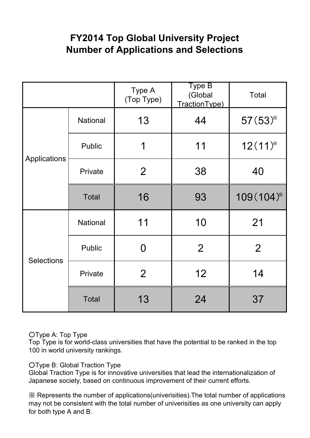# **FY2014 Top Global University Project Number of Applications and Selections**

|                   |               | Type A<br>(Top Type) | Type B<br>(Global<br>Traction Type) | <b>Total</b>   |
|-------------------|---------------|----------------------|-------------------------------------|----------------|
| Applications      | National      | 13                   | 44                                  | 57(53)         |
|                   | <b>Public</b> | 1                    | 11                                  | $12(11)^{*}$   |
|                   | Private       | $\overline{2}$       | 38                                  | 40             |
|                   | <b>Total</b>  | 16                   | 93                                  | 109 (104)*     |
|                   | National      | 11                   | 10                                  | 21             |
| <b>Selections</b> | Public        | 0                    | $\overline{2}$                      | $\overline{2}$ |
|                   | Private       | $\overline{2}$       | 12                                  | 14             |
|                   | <b>Total</b>  | 13                   | 24                                  | 37             |

#### ○Type A: Top Type

Top Type is for world-class universities that have the potential to be ranked in the top 100 in world university rankings.

○Type B: Global Traction Type

Global Traction Type is for innovative universities that lead the internationalization of Japanese society, based on continuous improvement of their current efforts.

※ Represents the number of applications(univerisities).The total number of applications may not be consistent with the total number of univerisities as one university can apply for both type A and B.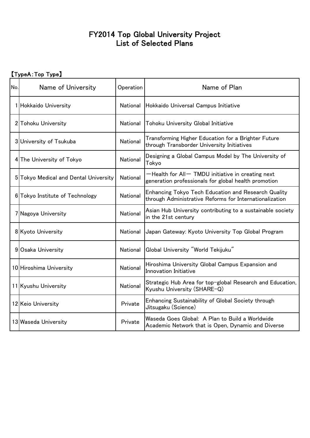### FY2014 Top Global University Project List of Selected Plans

## 【TypeA:Top Type】

| No. | Name of University                    | Operation       | Name of Plan                                                                                                   |
|-----|---------------------------------------|-----------------|----------------------------------------------------------------------------------------------------------------|
|     | 1 Hokkaido University                 | National        | Hokkaido Universal Campus Initiative                                                                           |
|     | 2 Tohoku University                   | <b>National</b> | <b>Tohoku University Global Initiative</b>                                                                     |
|     | 3 University of Tsukuba               | National        | Transforming Higher Education for a Brighter Future<br>through Transborder University Initiatives              |
|     | 4 The University of Tokyo             | National        | Designing a Global Campus Model by The University of<br>Tokyo                                                  |
|     | 5 Tokyo Medical and Dental University | National        | -Health for All- TMDU initiative in creating next<br>generation professionals for global health promotion      |
|     | 6 Tokyo Institute of Technology       | National        | Enhancing Tokyo Tech Education and Research Quality<br>through Administrative Reforms for Internationalization |
|     | 7 Nagoya University                   | National        | Asian Hub University contributing to a sustainable society<br>in the 21st century                              |
|     | 8 Kyoto University                    | National        | Japan Gateway: Kyoto University Top Global Program                                                             |
|     | 9 Osaka University                    | National        | Global University "World Tekijuku"                                                                             |
|     | 10 Hiroshima University               | National        | Hiroshima University Global Campus Expansion and<br>Innovation Initiative                                      |
|     | 11 Kyushu University                  | National        | Strategic Hub Area for top-global Research and Education,<br>Kyushu University (SHARE-Q)                       |
|     | 12 Keio University                    | Private         | Enhancing Sustainability of Global Society through<br>Jitsugaku (Science)                                      |
|     | 13 Waseda University                  | Private         | Waseda Goes Global: A Plan to Build a Worldwide<br>Academic Network that is Open, Dynamic and Diverse          |